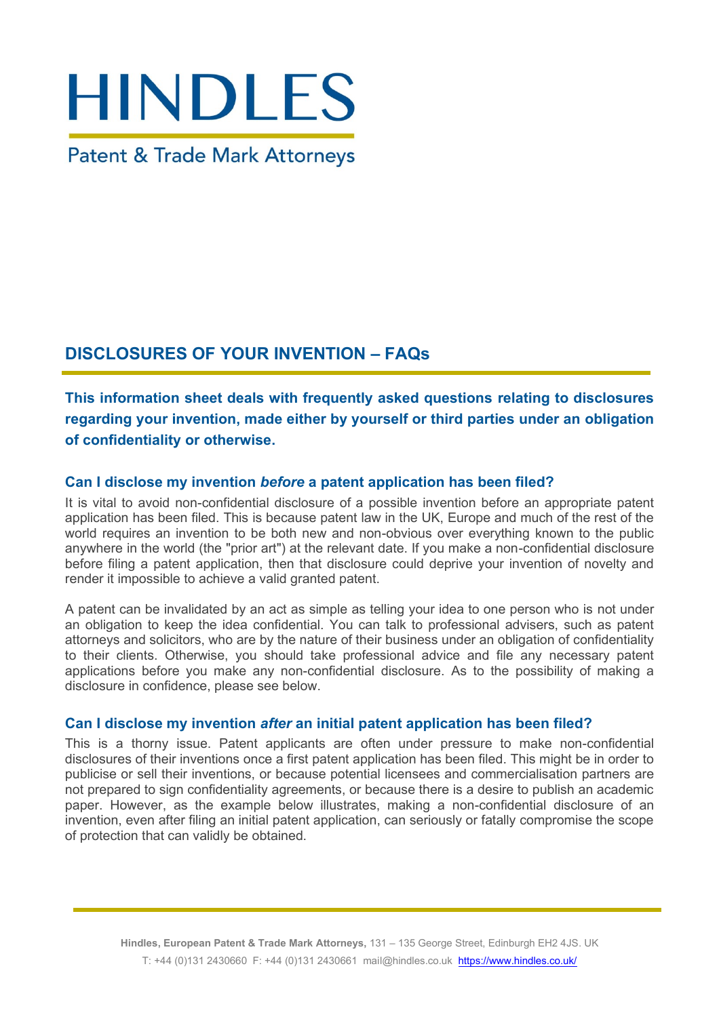# **HINDLES**

**Patent & Trade Mark Attorneys** 

# **DISCLOSURES OF YOUR INVENTION – FAQs**

**This information sheet deals with frequently asked questions relating to disclosures regarding your invention, made either by yourself or third parties under an obligation of confidentiality or otherwise.**

# **Can I disclose my invention** *before* **a patent application has been filed?**

It is vital to avoid non-confidential disclosure of a possible invention before an appropriate patent application has been filed. This is because patent law in the UK, Europe and much of the rest of the world requires an invention to be both new and non-obvious over everything known to the public anywhere in the world (the "prior art") at the relevant date. If you make a non-confidential disclosure before filing a patent application, then that disclosure could deprive your invention of novelty and render it impossible to achieve a valid granted patent.

A patent can be invalidated by an act as simple as telling your idea to one person who is not under an obligation to keep the idea confidential. You can talk to professional advisers, such as patent attorneys and solicitors, who are by the nature of their business under an obligation of confidentiality to their clients. Otherwise, you should take professional advice and file any necessary patent applications before you make any non-confidential disclosure. As to the possibility of making a disclosure in confidence, please see below.

# **Can I disclose my invention** *after* **an initial patent application has been filed?**

This is a thorny issue. Patent applicants are often under pressure to make non-confidential disclosures of their inventions once a first patent application has been filed. This might be in order to publicise or sell their inventions, or because potential licensees and commercialisation partners are not prepared to sign confidentiality agreements, or because there is a desire to publish an academic paper. However, as the example below illustrates, making a non-confidential disclosure of an invention, even after filing an initial patent application, can seriously or fatally compromise the scope of protection that can validly be obtained.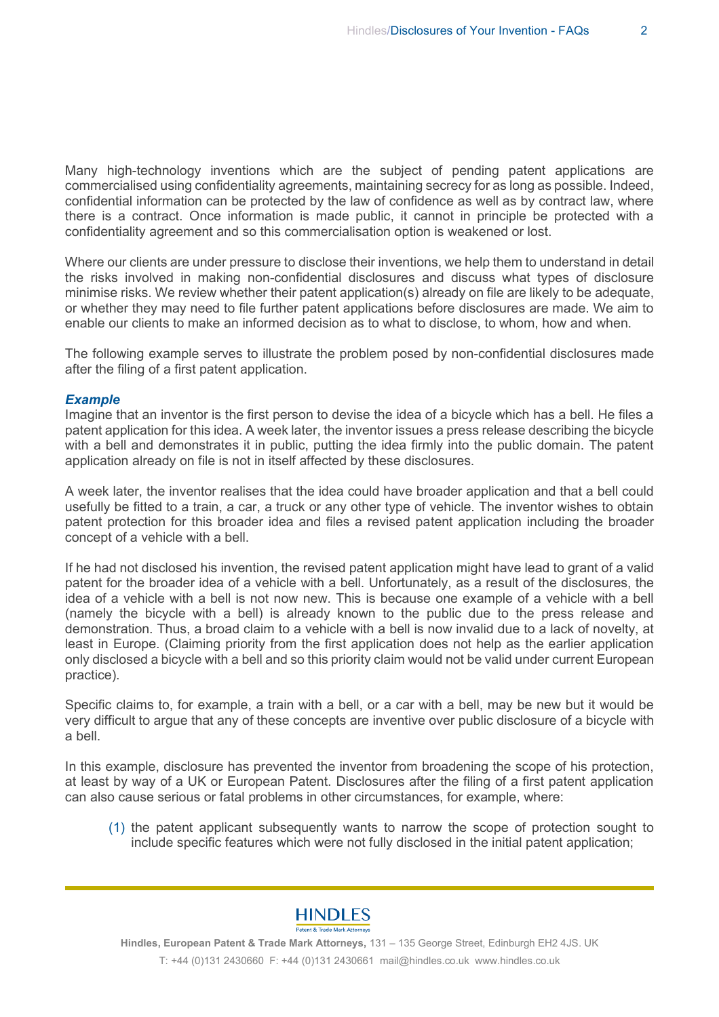Many high-technology inventions which are the subject of pending patent applications are commercialised using confidentiality agreements, maintaining secrecy for as long as possible. Indeed, confidential information can be protected by the law of confidence as well as by contract law, where there is a contract. Once information is made public, it cannot in principle be protected with a confidentiality agreement and so this commercialisation option is weakened or lost.

Where our clients are under pressure to disclose their inventions, we help them to understand in detail the risks involved in making non-confidential disclosures and discuss what types of disclosure minimise risks. We review whether their patent application(s) already on file are likely to be adequate, or whether they may need to file further patent applications before disclosures are made. We aim to enable our clients to make an informed decision as to what to disclose, to whom, how and when.

The following example serves to illustrate the problem posed by non-confidential disclosures made after the filing of a first patent application.

### *Example*

Imagine that an inventor is the first person to devise the idea of a bicycle which has a bell. He files a patent application for this idea. A week later, the inventor issues a press release describing the bicycle with a bell and demonstrates it in public, putting the idea firmly into the public domain. The patent application already on file is not in itself affected by these disclosures.

A week later, the inventor realises that the idea could have broader application and that a bell could usefully be fitted to a train, a car, a truck or any other type of vehicle. The inventor wishes to obtain patent protection for this broader idea and files a revised patent application including the broader concept of a vehicle with a bell.

If he had not disclosed his invention, the revised patent application might have lead to grant of a valid patent for the broader idea of a vehicle with a bell. Unfortunately, as a result of the disclosures, the idea of a vehicle with a bell is not now new. This is because one example of a vehicle with a bell (namely the bicycle with a bell) is already known to the public due to the press release and demonstration. Thus, a broad claim to a vehicle with a bell is now invalid due to a lack of novelty, at least in Europe. (Claiming priority from the first application does not help as the earlier application only disclosed a bicycle with a bell and so this priority claim would not be valid under current European practice).

Specific claims to, for example, a train with a bell, or a car with a bell, may be new but it would be very difficult to argue that any of these concepts are inventive over public disclosure of a bicycle with a bell.

In this example, disclosure has prevented the inventor from broadening the scope of his protection, at least by way of a UK or European Patent. Disclosures after the filing of a first patent application can also cause serious or fatal problems in other circumstances, for example, where:

(1) the patent applicant subsequently wants to narrow the scope of protection sought to include specific features which were not fully disclosed in the initial patent application;



**Hindles, European Patent & Trade Mark Attorneys,** 131 – 135 George Street, Edinburgh EH2 4JS. UK T: +44 (0)131 2430660 F: +44 (0)131 2430661 mail@hindles.co.uk www.hindles.co.uk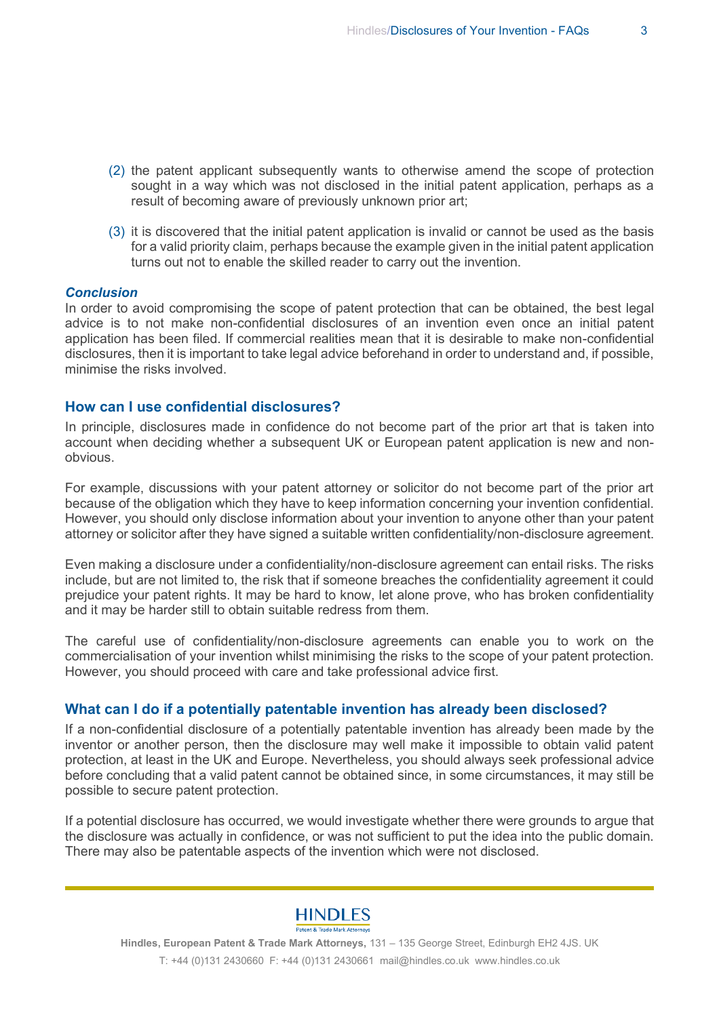- (2) the patent applicant subsequently wants to otherwise amend the scope of protection sought in a way which was not disclosed in the initial patent application, perhaps as a result of becoming aware of previously unknown prior art;
- (3) it is discovered that the initial patent application is invalid or cannot be used as the basis for a valid priority claim, perhaps because the example given in the initial patent application turns out not to enable the skilled reader to carry out the invention.

### *Conclusion*

In order to avoid compromising the scope of patent protection that can be obtained, the best legal advice is to not make non-confidential disclosures of an invention even once an initial patent application has been filed. If commercial realities mean that it is desirable to make non-confidential disclosures, then it is important to take legal advice beforehand in order to understand and, if possible, minimise the risks involved.

### **How can I use confidential disclosures?**

In principle, disclosures made in confidence do not become part of the prior art that is taken into account when deciding whether a subsequent UK or European patent application is new and nonobvious.

For example, discussions with your patent attorney or solicitor do not become part of the prior art because of the obligation which they have to keep information concerning your invention confidential. However, you should only disclose information about your invention to anyone other than your patent attorney or solicitor after they have signed a suitable written confidentiality/non-disclosure agreement.

Even making a disclosure under a confidentiality/non-disclosure agreement can entail risks. The risks include, but are not limited to, the risk that if someone breaches the confidentiality agreement it could prejudice your patent rights. It may be hard to know, let alone prove, who has broken confidentiality and it may be harder still to obtain suitable redress from them.

The careful use of confidentiality/non-disclosure agreements can enable you to work on the commercialisation of your invention whilst minimising the risks to the scope of your patent protection. However, you should proceed with care and take professional advice first.

### **What can I do if a potentially patentable invention has already been disclosed?**

If a non-confidential disclosure of a potentially patentable invention has already been made by the inventor or another person, then the disclosure may well make it impossible to obtain valid patent protection, at least in the UK and Europe. Nevertheless, you should always seek professional advice before concluding that a valid patent cannot be obtained since, in some circumstances, it may still be possible to secure patent protection.

If a potential disclosure has occurred, we would investigate whether there were grounds to argue that the disclosure was actually in confidence, or was not sufficient to put the idea into the public domain. There may also be patentable aspects of the invention which were not disclosed.



**Hindles, European Patent & Trade Mark Attorneys,** 131 – 135 George Street, Edinburgh EH2 4JS. UK T: +44 (0)131 2430660 F: +44 (0)131 2430661 mail@hindles.co.uk www.hindles.co.uk